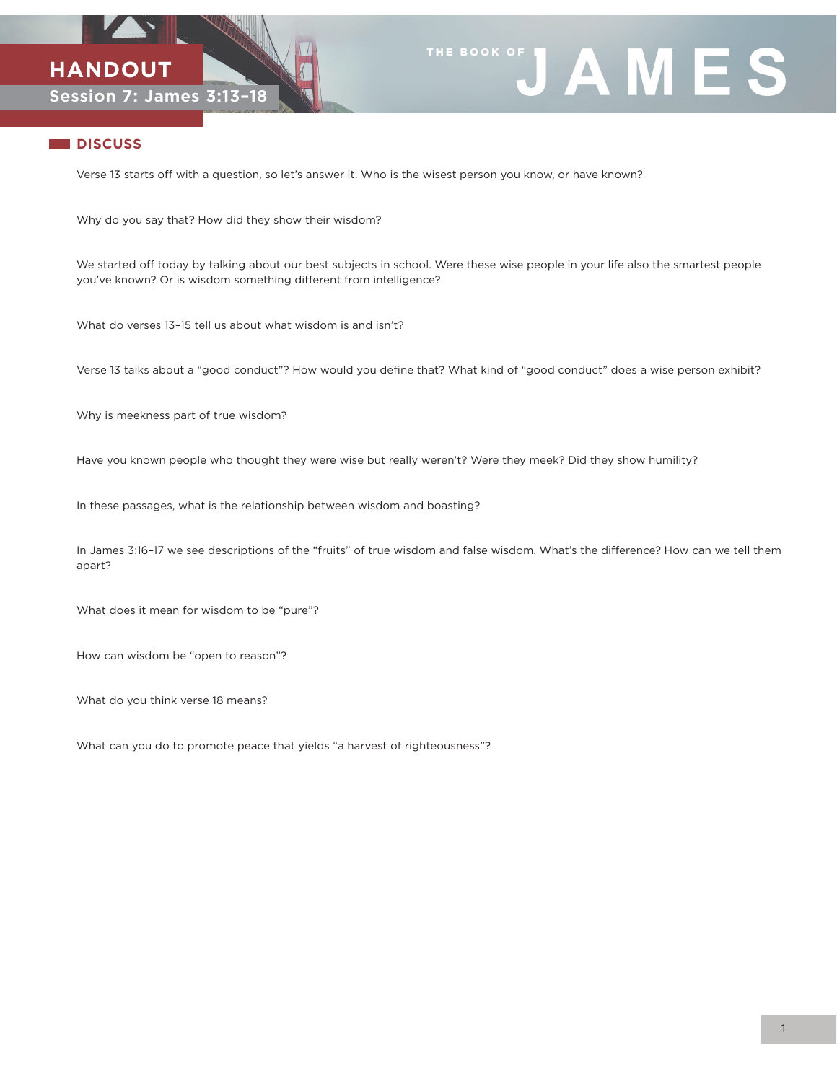



## **DISCUSS**

Verse 13 starts off with a question, so let's answer it. Who is the wisest person you know, or have known?

Why do you say that? How did they show their wisdom?

We started off today by talking about our best subjects in school. Were these wise people in your life also the smartest people you've known? Or is wisdom something different from intelligence?

What do verses 13–15 tell us about what wisdom is and isn't?

Verse 13 talks about a "good conduct"? How would you define that? What kind of "good conduct" does a wise person exhibit?

Why is meekness part of true wisdom?

Have you known people who thought they were wise but really weren't? Were they meek? Did they show humility?

In these passages, what is the relationship between wisdom and boasting?

In James 3:16–17 we see descriptions of the "fruits" of true wisdom and false wisdom. What's the difference? How can we tell them apart?

What does it mean for wisdom to be "pure"?

How can wisdom be "open to reason"?

What do you think verse 18 means?

What can you do to promote peace that yields "a harvest of righteousness"?